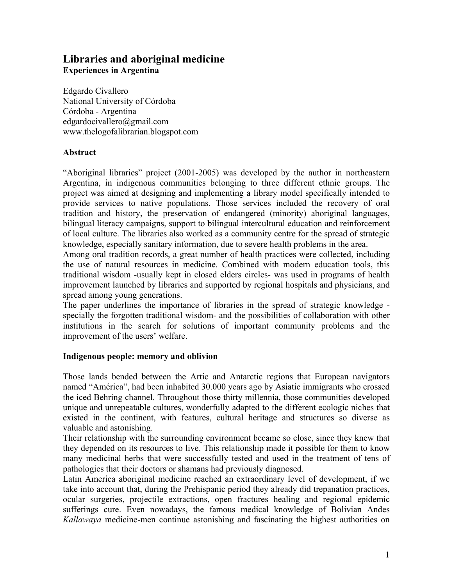# **Libraries and aboriginal medicine Experiences in Argentina**

Edgardo Civallero National University of Córdoba Córdoba - Argentina edgardocivallero@gmail.com www.thelogofalibrarian.blogspot.com

### **Abstract**

"Aboriginal libraries" project (2001-2005) was developed by the author in northeastern Argentina, in indigenous communities belonging to three different ethnic groups. The project was aimed at designing and implementing a library model specifically intended to provide services to native populations. Those services included the recovery of oral tradition and history, the preservation of endangered (minority) aboriginal languages, bilingual literacy campaigns, support to bilingual intercultural education and reinforcement of local culture. The libraries also worked as a community centre for the spread of strategic knowledge, especially sanitary information, due to severe health problems in the area.

Among oral tradition records, a great number of health practices were collected, including the use of natural resources in medicine. Combined with modern education tools, this traditional wisdom -usually kept in closed elders circles- was used in programs of health improvement launched by libraries and supported by regional hospitals and physicians, and spread among young generations.

The paper underlines the importance of libraries in the spread of strategic knowledge specially the forgotten traditional wisdom- and the possibilities of collaboration with other institutions in the search for solutions of important community problems and the improvement of the users' welfare.

### **Indigenous people: memory and oblivion**

Those lands bended between the Artic and Antarctic regions that European navigators named "América", had been inhabited 30.000 years ago by Asiatic immigrants who crossed the iced Behring channel. Throughout those thirty millennia, those communities developed unique and unrepeatable cultures, wonderfully adapted to the different ecologic niches that existed in the continent, with features, cultural heritage and structures so diverse as valuable and astonishing.

Their relationship with the surrounding environment became so close, since they knew that they depended on its resources to live. This relationship made it possible for them to know many medicinal herbs that were successfully tested and used in the treatment of tens of pathologies that their doctors or shamans had previously diagnosed.

Latin America aboriginal medicine reached an extraordinary level of development, if we take into account that, during the Prehispanic period they already did trepanation practices, ocular surgeries, projectile extractions, open fractures healing and regional epidemic sufferings cure. Even nowadays, the famous medical knowledge of Bolivian Andes *Kallawaya* medicine-men continue astonishing and fascinating the highest authorities on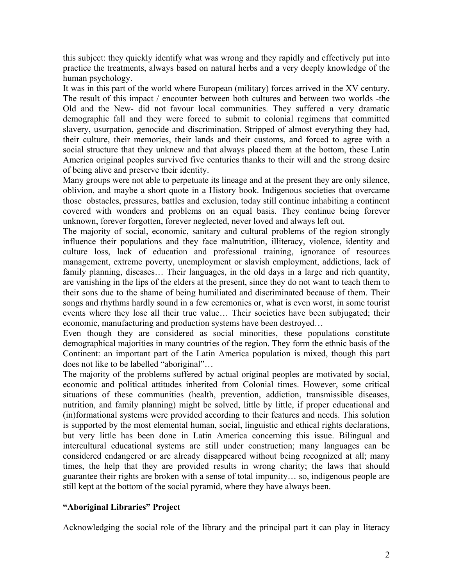this subject: they quickly identify what was wrong and they rapidly and effectively put into practice the treatments, always based on natural herbs and a very deeply knowledge of the human psychology.

It was in this part of the world where European (military) forces arrived in the XV century. The result of this impact / encounter between both cultures and between two worlds -the Old and the New- did not favour local communities. They suffered a very dramatic demographic fall and they were forced to submit to colonial regimens that committed slavery, usurpation, genocide and discrimination. Stripped of almost everything they had, their culture, their memories, their lands and their customs, and forced to agree with a social structure that they unknew and that always placed them at the bottom, these Latin America original peoples survived five centuries thanks to their will and the strong desire of being alive and preserve their identity.

Many groups were not able to perpetuate its lineage and at the present they are only silence, oblivion, and maybe a short quote in a History book. Indigenous societies that overcame those obstacles, pressures, battles and exclusion, today still continue inhabiting a continent covered with wonders and problems on an equal basis. They continue being forever unknown, forever forgotten, forever neglected, never loved and always left out.

The majority of social, economic, sanitary and cultural problems of the region strongly influence their populations and they face malnutrition, illiteracy, violence, identity and culture loss, lack of education and professional training, ignorance of resources management, extreme poverty, unemployment or slavish employment, addictions, lack of family planning, diseases… Their languages, in the old days in a large and rich quantity, are vanishing in the lips of the elders at the present, since they do not want to teach them to their sons due to the shame of being humiliated and discriminated because of them. Their songs and rhythms hardly sound in a few ceremonies or, what is even worst, in some tourist events where they lose all their true value… Their societies have been subjugated; their economic, manufacturing and production systems have been destroyed…

Even though they are considered as social minorities, these populations constitute demographical majorities in many countries of the region. They form the ethnic basis of the Continent: an important part of the Latin America population is mixed, though this part does not like to be labelled "aboriginal"…

The majority of the problems suffered by actual original peoples are motivated by social, economic and political attitudes inherited from Colonial times. However, some critical situations of these communities (health, prevention, addiction, transmissible diseases, nutrition, and family planning) might be solved, little by little, if proper educational and (in)formational systems were provided according to their features and needs. This solution is supported by the most elemental human, social, linguistic and ethical rights declarations, but very little has been done in Latin America concerning this issue. Bilingual and intercultural educational systems are still under construction; many languages can be considered endangered or are already disappeared without being recognized at all; many times, the help that they are provided results in wrong charity; the laws that should guarantee their rights are broken with a sense of total impunity… so, indigenous people are still kept at the bottom of the social pyramid, where they have always been.

### **"Aboriginal Libraries" Project**

Acknowledging the social role of the library and the principal part it can play in literacy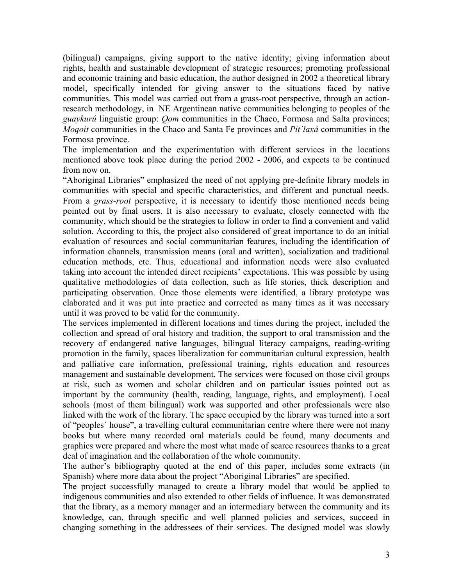(bilingual) campaigns, giving support to the native identity; giving information about rights, health and sustainable development of strategic resources; promoting professional and economic training and basic education, the author designed in 2002 a theoretical library model, specifically intended for giving answer to the situations faced by native communities. This model was carried out from a grass-root perspective, through an actionresearch methodology, in NE Argentinean native communities belonging to peoples of the *guaykurú* linguistic group: *Qom* communities in the Chaco, Formosa and Salta provinces; *Moqoit* communities in the Chaco and Santa Fe provinces and *Pit´laxá* communities in the Formosa province.

The implementation and the experimentation with different services in the locations mentioned above took place during the period 2002 - 2006, and expects to be continued from now on.

"Aboriginal Libraries" emphasized the need of not applying pre-definite library models in communities with special and specific characteristics, and different and punctual needs. From a *grass-root* perspective, it is necessary to identify those mentioned needs being pointed out by final users. It is also necessary to evaluate, closely connected with the community, which should be the strategies to follow in order to find a convenient and valid solution. According to this, the project also considered of great importance to do an initial evaluation of resources and social communitarian features, including the identification of information channels, transmission means (oral and written), socialization and traditional education methods, etc. Thus, educational and information needs were also evaluated taking into account the intended direct recipients' expectations. This was possible by using qualitative methodologies of data collection, such as life stories, thick description and participating observation. Once those elements were identified, a library prototype was elaborated and it was put into practice and corrected as many times as it was necessary until it was proved to be valid for the community.

The services implemented in different locations and times during the project, included the collection and spread of oral history and tradition, the support to oral transmission and the recovery of endangered native languages, bilingual literacy campaigns, reading-writing promotion in the family, spaces liberalization for communitarian cultural expression, health and palliative care information, professional training, rights education and resources management and sustainable development. The services were focused on those civil groups at risk, such as women and scholar children and on particular issues pointed out as important by the community (health, reading, language, rights, and employment). Local schools (most of them bilingual) work was supported and other professionals were also linked with the work of the library. The space occupied by the library was turned into a sort of "peoples´ house", a travelling cultural communitarian centre where there were not many books but where many recorded oral materials could be found, many documents and graphics were prepared and where the most what made of scarce resources thanks to a great deal of imagination and the collaboration of the whole community.

The author's bibliography quoted at the end of this paper, includes some extracts (in Spanish) where more data about the project "Aboriginal Libraries" are specified.

The project successfully managed to create a library model that would be applied to indigenous communities and also extended to other fields of influence. It was demonstrated that the library, as a memory manager and an intermediary between the community and its knowledge, can, through specific and well planned policies and services, succeed in changing something in the addressees of their services. The designed model was slowly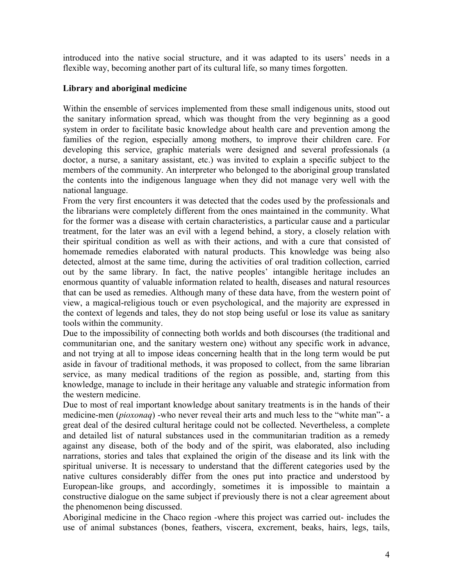introduced into the native social structure, and it was adapted to its users' needs in a flexible way, becoming another part of its cultural life, so many times forgotten.

## **Library and aboriginal medicine**

Within the ensemble of services implemented from these small indigenous units, stood out the sanitary information spread, which was thought from the very beginning as a good system in order to facilitate basic knowledge about health care and prevention among the families of the region, especially among mothers, to improve their children care. For developing this service, graphic materials were designed and several professionals (a doctor, a nurse, a sanitary assistant, etc.) was invited to explain a specific subject to the members of the community. An interpreter who belonged to the aboriginal group translated the contents into the indigenous language when they did not manage very well with the national language.

From the very first encounters it was detected that the codes used by the professionals and the librarians were completely different from the ones maintained in the community. What for the former was a disease with certain characteristics, a particular cause and a particular treatment, for the later was an evil with a legend behind, a story, a closely relation with their spiritual condition as well as with their actions, and with a cure that consisted of homemade remedies elaborated with natural products. This knowledge was being also detected, almost at the same time, during the activities of oral tradition collection, carried out by the same library. In fact, the native peoples' intangible heritage includes an enormous quantity of valuable information related to health, diseases and natural resources that can be used as remedies. Although many of these data have, from the western point of view, a magical-religious touch or even psychological, and the majority are expressed in the context of legends and tales, they do not stop being useful or lose its value as sanitary tools within the community.

Due to the impossibility of connecting both worlds and both discourses (the traditional and communitarian one, and the sanitary western one) without any specific work in advance, and not trying at all to impose ideas concerning health that in the long term would be put aside in favour of traditional methods, it was proposed to collect, from the same librarian service, as many medical traditions of the region as possible, and, starting from this knowledge, manage to include in their heritage any valuable and strategic information from the western medicine.

Due to most of real important knowledge about sanitary treatments is in the hands of their medicine-men (*pioxonaq*) -who never reveal their arts and much less to the "white man"- a great deal of the desired cultural heritage could not be collected. Nevertheless, a complete and detailed list of natural substances used in the communitarian tradition as a remedy against any disease, both of the body and of the spirit, was elaborated, also including narrations, stories and tales that explained the origin of the disease and its link with the spiritual universe. It is necessary to understand that the different categories used by the native cultures considerably differ from the ones put into practice and understood by European-like groups, and accordingly, sometimes it is impossible to maintain a constructive dialogue on the same subject if previously there is not a clear agreement about the phenomenon being discussed.

Aboriginal medicine in the Chaco region -where this project was carried out- includes the use of animal substances (bones, feathers, viscera, excrement, beaks, hairs, legs, tails,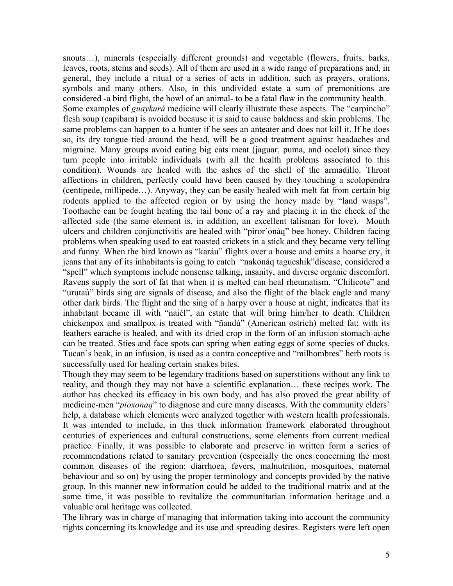snouts...), minerals (especially different grounds) and vegetable (flowers, fruits, barks, leaves, roots, stems and seeds). All of them are used in a wide range of preparations and, in general, they include a ritual or a series of acts in addition, such as prayers, orations, symbols and many others. Also, in this undivided estate a sum of premonitions are considered -a bird flight, the howl of an animal- to be a fatal flaw in the community health. Some examples of *guaykurú* medicine will clearly illustrate these aspects. The "carpincho" flesh soup (capibara) is avoided because it is said to cause baldness and skin problems. The same problems can happen to a hunter if he sees an anteater and does not kill it. If he does so, its dry tongue tied around the head, will be a good treatment against headaches and migraine. Many groups avoid eating big cats meat (jaguar, puma, and ocelot) since they turn people into irritable individuals (with all the health problems associated to this condition). Wounds are healed with the ashes of the shell of the armadillo. Throat affections in children, perfectly could have been caused by they touching a scolopendra (centipede, millipede…). Anyway, they can be easily healed with melt fat from certain big rodents applied to the affected region or by using the honey made by "land wasps". Toothache can be fought heating the tail bone of a ray and placing it in the cheek of the affected side (the same element is, in addition, an excellent talisman for love). Mouth ulcers and children conjunctivitis are healed with "piror´onáq" bee honey. Children facing problems when speaking used to eat roasted crickets in a stick and they became very telling and funny. When the bird known as "karáu" flights over a house and emits a hoarse cry, it jeans that any of its inhabitants is going to catch "nakonáq tagueshik"disease, considered a "spell" which symptoms include nonsense talking, insanity, and diverse organic discomfort. Ravens supply the sort of fat that when it is melted can heal rheumatism. "Chilicote" and "urutaú" birds sing are signals of disease, and also the flight of the black eagle and many other dark birds. The flight and the sing of a harpy over a house at night, indicates that its inhabitant became ill with "naiél", an estate that will bring him/her to death. Children chickenpox and smallpox is treated with "ñandú" (American ostrich) melted fat; with its feathers earache is healed, and with its dried crop in the form of an infusion stomach-ache can be treated. Sties and face spots can spring when eating eggs of some species of ducks. Tucan's beak, in an infusion, is used as a contra conceptive and "milhombres" herb roots is successfully used for healing certain snakes bites.

Though they may seem to be legendary traditions based on superstitions without any link to reality, and though they may not have a scientific explanation… these recipes work. The author has checked its efficacy in his own body, and has also proved the great ability of medicine-men "*pioxonaq*" to diagnose and cure many diseases. With the community elders' help, a database which elements were analyzed together with western health professionals. It was intended to include, in this thick information framework elaborated throughout centuries of experiences and cultural constructions, some elements from current medical practice. Finally, it was possible to elaborate and preserve in written form a series of recommendations related to sanitary prevention (especially the ones concerning the most common diseases of the region: diarrhoea, fevers, malnutrition, mosquitoes, maternal behaviour and so on) by using the proper terminology and concepts provided by the native group. In this manner new information could be added to the traditional matrix and at the same time, it was possible to revitalize the communitarian information heritage and a valuable oral heritage was collected.

The library was in charge of managing that information taking into account the community rights concerning its knowledge and its use and spreading desires. Registers were left open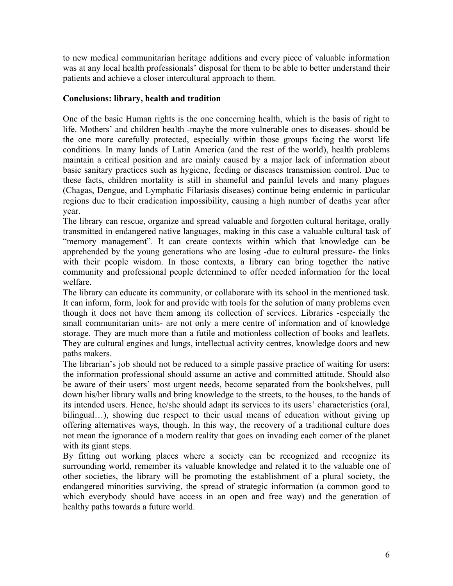to new medical communitarian heritage additions and every piece of valuable information was at any local health professionals' disposal for them to be able to better understand their patients and achieve a closer intercultural approach to them.

### **Conclusions: library, health and tradition**

One of the basic Human rights is the one concerning health, which is the basis of right to life. Mothers' and children health -maybe the more vulnerable ones to diseases- should be the one more carefully protected, especially within those groups facing the worst life conditions. In many lands of Latin America (and the rest of the world), health problems maintain a critical position and are mainly caused by a major lack of information about basic sanitary practices such as hygiene, feeding or diseases transmission control. Due to these facts, children mortality is still in shameful and painful levels and many plagues (Chagas, Dengue, and Lymphatic Filariasis diseases) continue being endemic in particular regions due to their eradication impossibility, causing a high number of deaths year after year.

The library can rescue, organize and spread valuable and forgotten cultural heritage, orally transmitted in endangered native languages, making in this case a valuable cultural task of "memory management". It can create contexts within which that knowledge can be apprehended by the young generations who are losing -due to cultural pressure- the links with their people wisdom. In those contexts, a library can bring together the native community and professional people determined to offer needed information for the local welfare.

The library can educate its community, or collaborate with its school in the mentioned task. It can inform, form, look for and provide with tools for the solution of many problems even though it does not have them among its collection of services. Libraries -especially the small communitarian units- are not only a mere centre of information and of knowledge storage. They are much more than a futile and motionless collection of books and leaflets. They are cultural engines and lungs, intellectual activity centres, knowledge doors and new paths makers.

The librarian's job should not be reduced to a simple passive practice of waiting for users: the information professional should assume an active and committed attitude. Should also be aware of their users' most urgent needs, become separated from the bookshelves, pull down his/her library walls and bring knowledge to the streets, to the houses, to the hands of its intended users. Hence, he/she should adapt its services to its users' characteristics (oral, bilingual...), showing due respect to their usual means of education without giving up offering alternatives ways, though. In this way, the recovery of a traditional culture does not mean the ignorance of a modern reality that goes on invading each corner of the planet with its giant steps.

By fitting out working places where a society can be recognized and recognize its surrounding world, remember its valuable knowledge and related it to the valuable one of other societies, the library will be promoting the establishment of a plural society, the endangered minorities surviving, the spread of strategic information (a common good to which everybody should have access in an open and free way) and the generation of healthy paths towards a future world.